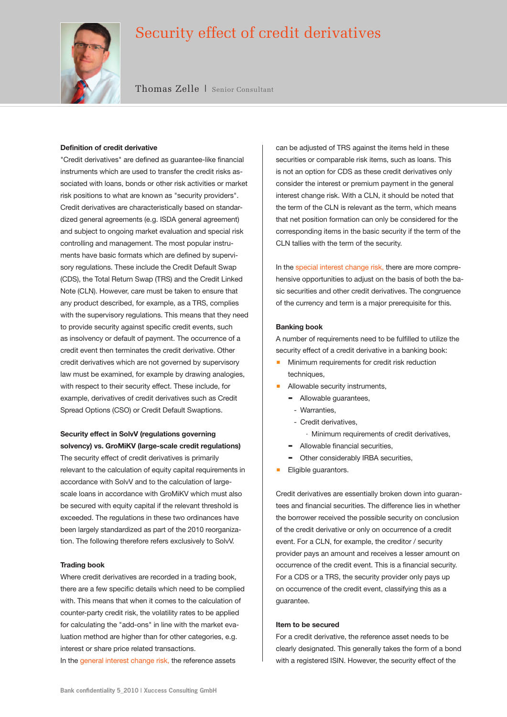# Security effect of credit derivatives



Thomas Zelle | Senior Consultant

#### **Definition of credit derivative**

"Credit derivatives" are defined as guarantee-like financial instruments which are used to transfer the credit risks associated with loans, bonds or other risk activities or market risk positions to what are known as "security providers". Credit derivatives are characteristically based on standardized general agreements (e.g. ISDA general agreement) and subject to ongoing market evaluation and special risk controlling and management. The most popular instruments have basic formats which are defined by supervisory regulations. These include the Credit Default Swap (CDS), the Total Return Swap (TRS) and the Credit Linked Note (CLN). However, care must be taken to ensure that any product described, for example, as a TRS, complies with the supervisory regulations. This means that they need to provide security against specific credit events, such as insolvency or default of payment. The occurrence of a credit event then terminates the credit derivative. Other credit derivatives which are not governed by supervisory law must be examined, for example by drawing analogies, with respect to their security effect. These include, for example, derivatives of credit derivatives such as Credit Spread Options (CSO) or Credit Default Swaptions.

# **Security effect in SolvV (regulations governing solvency) vs. GroMiKV (large-scale credit regulations)**

The security effect of credit derivatives is primarily relevant to the calculation of equity capital requirements in accordance with SolvV and to the calculation of largescale loans in accordance with GroMiKV which must also be secured with equity capital if the relevant threshold is exceeded. The regulations in these two ordinances have been largely standardized as part of the 2010 reorganization. The following therefore refers exclusively to SolvV.

## **Trading book**

Where credit derivatives are recorded in a trading book, there are a few specific details which need to be complied with. This means that when it comes to the calculation of counter-party credit risk, the volatility rates to be applied for calculating the "add-ons" in line with the market evaluation method are higher than for other categories, e.g. interest or share price related transactions. In the general interest change risk, the reference assets

can be adjusted of TRS against the items held in these securities or comparable risk items, such as loans. This is not an option for CDS as these credit derivatives only consider the interest or premium payment in the general interest change risk. With a CLN, it should be noted that the term of the CLN is relevant as the term, which means that net position formation can only be considered for the corresponding items in the basic security if the term of the CLN tallies with the term of the security.

In the special interest change risk, there are more comprehensive opportunities to adjust on the basis of both the basic securities and other credit derivatives. The congruence of the currency and term is a major prerequisite for this.

## **Banking book**

A number of requirements need to be fulfilled to utilize the security effect of a credit derivative in a banking book:

- Minimum requirements for credit risk reduction techniques,
- **Allowable security instruments,** 
	- Allowable guarantees,
		- Warranties,
	- Credit derivatives,
		- · Minimum requirements of credit derivatives,
	- $\blacksquare$  Allowable financial securities,
	- Other considerably IRBA securities,
- **Eligible guarantors.**

Credit derivatives are essentially broken down into guarantees and financial securities. The difference lies in whether the borrower received the possible security on conclusion of the credit derivative or only on occurrence of a credit event. For a CLN, for example, the creditor / security provider pays an amount and receives a lesser amount on occurrence of the credit event. This is a financial security. For a CDS or a TRS, the security provider only pays up on occurrence of the credit event, classifying this as a guarantee.

#### **Item to be secured**

For a credit derivative, the reference asset needs to be clearly designated. This generally takes the form of a bond with a registered ISIN. However, the security effect of the